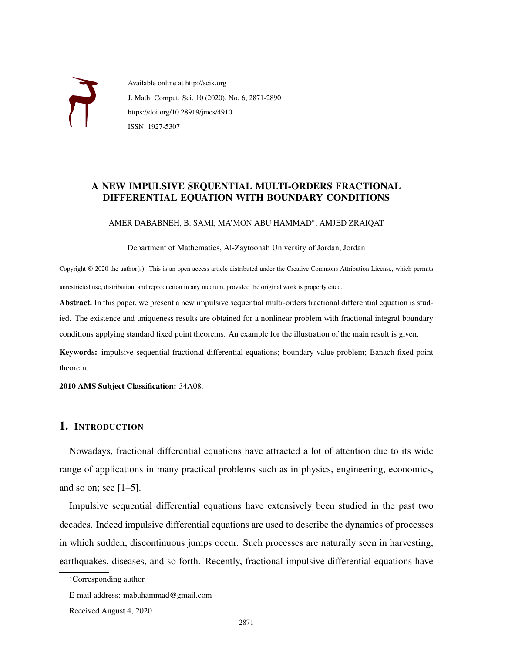

Available online at http://scik.org J. Math. Comput. Sci. 10 (2020), No. 6, 2871-2890 https://doi.org/10.28919/jmcs/4910 ISSN: 1927-5307

# A NEW IMPULSIVE SEQUENTIAL MULTI-ORDERS FRACTIONAL DIFFERENTIAL EQUATION WITH BOUNDARY CONDITIONS

AMER DABABNEH, B. SAMI, MA'MON ABU HAMMAD<sup>∗</sup> , AMJED ZRAIQAT

Department of Mathematics, Al-Zaytoonah University of Jordan, Jordan

Copyright © 2020 the author(s). This is an open access article distributed under the Creative Commons Attribution License, which permits unrestricted use, distribution, and reproduction in any medium, provided the original work is properly cited.

Abstract. In this paper, we present a new impulsive sequential multi-orders fractional differential equation is studied. The existence and uniqueness results are obtained for a nonlinear problem with fractional integral boundary conditions applying standard fixed point theorems. An example for the illustration of the main result is given.

Keywords: impulsive sequential fractional differential equations; boundary value problem; Banach fixed point theorem.

2010 AMS Subject Classification: 34A08.

# 1. INTRODUCTION

Nowadays, fractional differential equations have attracted a lot of attention due to its wide range of applications in many practical problems such as in physics, engineering, economics, and so on; see  $[1-5]$ .

Impulsive sequential differential equations have extensively been studied in the past two decades. Indeed impulsive differential equations are used to describe the dynamics of processes in which sudden, discontinuous jumps occur. Such processes are naturally seen in harvesting, earthquakes, diseases, and so forth. Recently, fractional impulsive differential equations have

<sup>∗</sup>Corresponding author

E-mail address: mabuhammad@gmail.com

Received August 4, 2020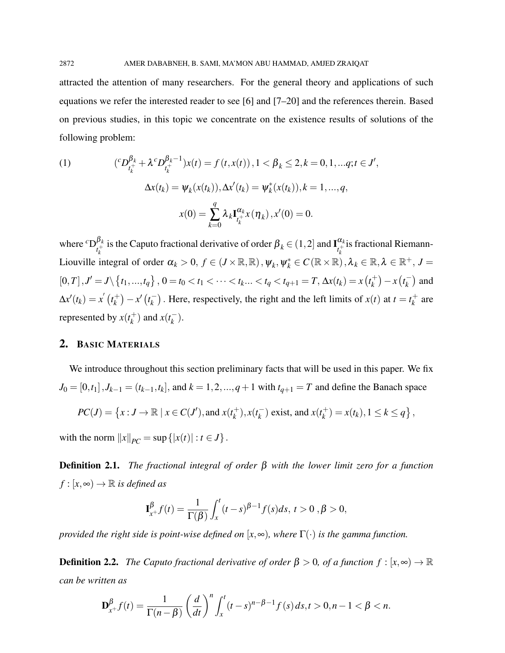attracted the attention of many researchers. For the general theory and applications of such equations we refer the interested reader to see [6] and [7–20] and the references therein. Based on previous studies, in this topic we concentrate on the existence results of solutions of the following problem:

(1) 
$$
({}^{c}D_{t_{k}^{+}}^{\beta_{k}} + \lambda^{c}D_{t_{k}^{+}}^{\beta_{k-1}})x(t) = f(t, x(t)), 1 < \beta_{k} \leq 2, k = 0, 1, ..., q; t \in J',
$$

$$
\Delta x(t_{k}) = \psi_{k}(x(t_{k})), \Delta x'(t_{k}) = \psi_{k}^{*}(x(t_{k})), k = 1, ..., q,
$$

$$
x(0) = \sum_{k=0}^{q} \lambda_{k} \mathbf{I}_{t_{k}^{+}}^{\alpha_{k}} x(\eta_{k}), x'(0) = 0.
$$

where  ${}^c\mathrm{D}_{\cdot+}^{\beta_k}$  $\frac{\beta_k}{t_k^+}$  is the Caputo fractional derivative of order  $\beta_k \in (1,2]$  and  $\mathbf{I}^{\alpha_k}_{t_k^+}$  $\mathbf{u}_k$  is fractional Riemann-Liouville integral of order  $\alpha_k > 0$ ,  $f \in (J \times \mathbb{R}, \mathbb{R})$ ,  $\psi_k, \psi_k^* \in C(\mathbb{R} \times \mathbb{R})$ ,  $\lambda_k \in \mathbb{R}, \lambda \in \mathbb{R}^+$ ,  $J =$  $[0,T], J' = J \setminus \{t_1, ..., t_q\}, 0 = t_0 < t_1 < \cdots < t_k ... < t_q < t_{q+1} = T, \Delta x(t_k) = x(t_k)$  $\left(t_k^{+}\right) - x\left(t_k^{-}\right)$  $\binom{m}{k}$  and  $\Delta x'(t_k) = x^{'}(t_k^+)$  $\binom{+}{k} - x' \left(t_k^{-}\right)$  $k$ ). Here, respectively, the right and the left limits of *x*(*t*) at *t* =  $t_k^+$  $\frac{1}{k}$  are represented by  $x(t_k^+)$  $\binom{+}{k}$  and  $x(t_k^-)$ *k* ).

## 2. BASIC MATERIALS

We introduce throughout this section preliminary facts that will be used in this paper. We fix *J*<sub>0</sub> = [0,*t*<sub>1</sub>], *J*<sub>*k*−1</sub> = (*t*<sub>*k*−1</sub>,*t*<sub>*k*</sub>], and *k* = 1, 2, ..., *q* + 1 with *t*<sub>*q*+1</sub> = *T* and define the Banach space

$$
PC(J) = \left\{ x : J \to \mathbb{R} \mid x \in C(J'), \text{and } x(t_k^+), x(t_k^-) \text{ exist, and } x(t_k^+) = x(t_k), 1 \le k \le q \right\},\
$$

with the norm  $||x||_{PC} = \sup\{|x(t)| : t \in J\}$ .

Definition 2.1. *The fractional integral of order* β *with the lower limit zero for a function*  $f : [x, \infty) \to \mathbb{R}$  *is defined as* 

$$
\mathbf{I}_{x+}^{\beta} f(t) = \frac{1}{\Gamma(\beta)} \int_{x}^{t} (t-s)^{\beta-1} f(s) ds, \ t > 0, \beta > 0,
$$

*provided the right side is point-wise defined on*  $[x, \infty)$ *, where*  $\Gamma(\cdot)$  *is the gamma function.* 

**Definition 2.2.** *The Caputo fractional derivative of order*  $\beta > 0$ *, of a function*  $f : [x, \infty) \to \mathbb{R}$ *can be written as*

$$
\mathbf{D}_{x+}^{\beta}f(t)=\frac{1}{\Gamma(n-\beta)}\left(\frac{d}{dt}\right)^n\int_x^t(t-s)^{n-\beta-1}f(s)\,ds,t>0,n-1<\beta
$$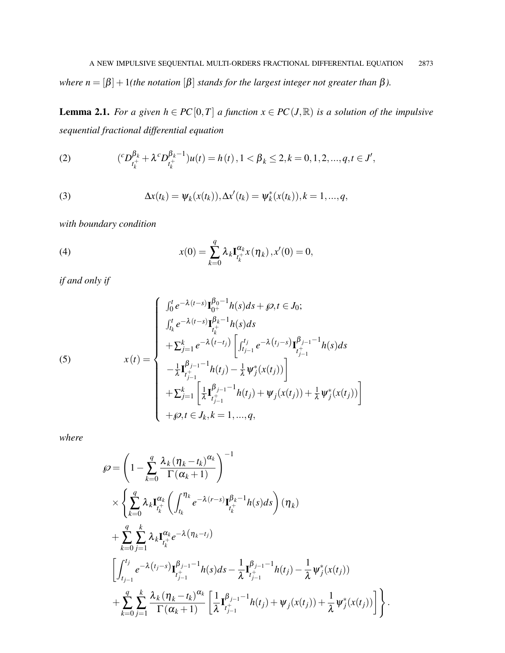*where*  $n = [\beta] + 1$ (*the notation*  $[\beta]$  *stands for the largest integer not greater than*  $\beta$ *).* 

**Lemma 2.1.** *For a given h* ∈  $PC[0,T]$  *a function*  $x \in PC(J,\mathbb{R})$  *is a solution of the impulsive sequential fractional differential equation*

(2) 
$$
({}^cD_{t_k^+}^{\beta_k} + \lambda^cD_{t_k^+}^{\beta_k-1})u(t) = h(t), 1 < \beta_k \le 2, k = 0, 1, 2, ..., q, t \in J',
$$

(3) 
$$
\Delta x(t_k) = \psi_k(x(t_k)), \Delta x'(t_k) = \psi_k^*(x(t_k)), k = 1, ..., q,
$$

*with boundary condition*

(4) 
$$
x(0) = \sum_{k=0}^{q} \lambda_k \mathbf{I}_{t_k^+}^{\alpha_k} x(\eta_k), x'(0) = 0,
$$

*if and only if*

(5) 
$$
x(t) = \begin{cases} \int_0^t e^{-\lambda(t-s)} \mathbf{I}_{0^+}^{\beta_0 - 1} h(s) ds + \wp, t \in J_0; \\ \int_{t_k}^t e^{-\lambda(t-s)} \mathbf{I}_{t_k^+}^{\beta_k - 1} h(s) ds \\ + \sum_{j=1}^k e^{-\lambda(t-t_j)} \left[ \int_{t_{j-1}}^{t_j} e^{-\lambda(t_j - s)} \mathbf{I}_{t_{j-1}^+}^{\beta_{j-1} - 1} h(s) ds \\ - \frac{1}{\lambda} \mathbf{I}_{t_{j-1}^+}^{\beta_{j-1} - 1} h(t_j) - \frac{1}{\lambda} \psi_j^*(x(t_j)) \right] \\ + \sum_{j=1}^k \left[ \frac{1}{\lambda} \mathbf{I}_{t_{j-1}^+}^{\beta_{j-1} - 1} h(t_j) + \psi_j(x(t_j)) + \frac{1}{\lambda} \psi_j^*(x(t_j)) \right] \\ + \wp, t \in J_k, k = 1, ..., q, \end{cases}
$$

*where*

$$
\wp = \left(1 - \sum_{k=0}^{q} \frac{\lambda_{k} (\eta_{k} - t_{k})^{\alpha_{k}}}{\Gamma(\alpha_{k} + 1)}\right)^{-1} \times \left\{\sum_{k=0}^{q} \lambda_{k} \mathbf{I}_{t_{k}^{+}}^{\alpha_{k}} \left(\int_{t_{k}}^{\eta_{k}} e^{-\lambda(r-s)} \mathbf{I}_{t_{k}^{+}}^{\beta_{k} - 1} h(s) ds\right) (\eta_{k}) \right. \\ \left. + \sum_{k=0}^{q} \sum_{j=1}^{k} \lambda_{k} \mathbf{I}_{t_{k}^{+}}^{\alpha_{k}} e^{-\lambda(\eta_{k} - t_{j})} \left[\int_{t_{j-1}}^{t_{j}} e^{-\lambda(t_{j} - s)} \mathbf{I}_{t_{j-1}^{+}}^{\beta_{j-1} - 1} h(s) ds - \frac{1}{\lambda} \mathbf{I}_{t_{j-1}^{+}}^{\beta_{j-1} - 1} h(t_{j}) - \frac{1}{\lambda} \psi_{j}^{*}(x(t_{j})) \right. \\ \left. + \sum_{k=0}^{q} \sum_{j=1}^{k} \frac{\lambda_{k} (\eta_{k} - t_{k})^{\alpha_{k}}}{\Gamma(\alpha_{k} + 1)} \left[\frac{1}{\lambda} \mathbf{I}_{t_{j-1}^{+}}^{\beta_{j-1} - 1} h(t_{j}) + \psi_{j}(x(t_{j})) + \frac{1}{\lambda} \psi_{j}^{*}(x(t_{j}))\right] \right\}.
$$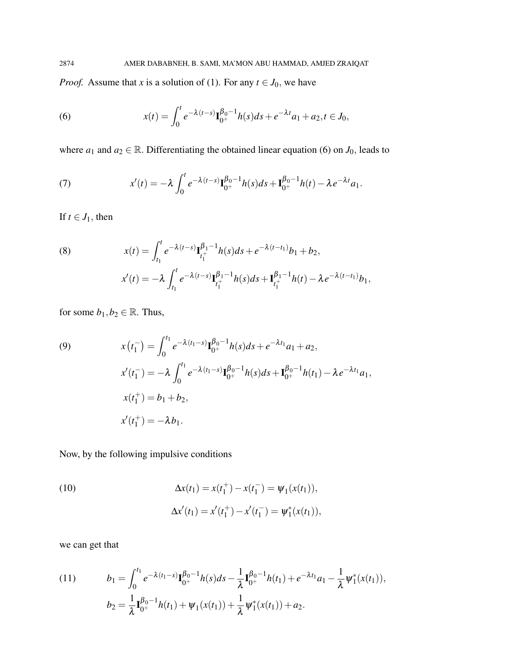*Proof.* Assume that *x* is a solution of (1). For any  $t \in J_0$ , we have

(6) 
$$
x(t) = \int_0^t e^{-\lambda(t-s)} \mathbf{I}_{0^+}^{\beta_0-1} h(s) ds + e^{-\lambda t} a_1 + a_2, t \in J_0,
$$

where  $a_1$  and  $a_2 \in \mathbb{R}$ . Differentiating the obtained linear equation (6) on  $J_0$ , leads to

(7) 
$$
x'(t) = -\lambda \int_0^t e^{-\lambda(t-s)} \mathbf{I}_{0^+}^{\beta_0-1} h(s) ds + \mathbf{I}_{0^+}^{\beta_0-1} h(t) - \lambda e^{-\lambda t} a_1.
$$

If  $t \in J_1$ , then

(8) 
$$
x(t) = \int_{t_1}^t e^{-\lambda(t-s)} \mathbf{I}_{t_1^+}^{\beta_1-1} h(s) ds + e^{-\lambda(t-t_1)} b_1 + b_2,
$$

$$
x'(t) = -\lambda \int_{t_1}^t e^{-\lambda(t-s)} \mathbf{I}_{t_1^+}^{\beta_1-1} h(s) ds + \mathbf{I}_{t_1^+}^{\beta_1-1} h(t) - \lambda e^{-\lambda(t-t_1)} b_1,
$$

for some  $b_1, b_2 \in \mathbb{R}$ . Thus,

(9)  
\n
$$
x(t_1^-) = \int_0^{t_1} e^{-\lambda(t_1-s)} \mathbf{I}_{0^+}^{\beta_0-1} h(s) ds + e^{-\lambda t_1} a_1 + a_2,
$$
\n
$$
x'(t_1^-) = -\lambda \int_0^{t_1} e^{-\lambda(t_1-s)} \mathbf{I}_{0^+}^{\beta_0-1} h(s) ds + \mathbf{I}_{0^+}^{\beta_0-1} h(t_1) - \lambda e^{-\lambda t_1} a_1,
$$
\n
$$
x(t_1^+) = b_1 + b_2,
$$
\n
$$
x'(t_1^+) = -\lambda b_1.
$$

Now, by the following impulsive conditions

(10)  
\n
$$
\Delta x(t_1) = x(t_1^+) - x(t_1^-) = \psi_1(x(t_1)),
$$
\n
$$
\Delta x'(t_1) = x'(t_1^+) - x'(t_1^-) = \psi_1^*(x(t_1)),
$$

we can get that

(11) 
$$
b_1 = \int_0^{t_1} e^{-\lambda(t_1 - s)} \mathbf{I}_{0^+}^{\beta_0 - 1} h(s) ds - \frac{1}{\lambda} \mathbf{I}_{0^+}^{\beta_0 - 1} h(t_1) + e^{-\lambda t_1} a_1 - \frac{1}{\lambda} \psi_1^*(x(t_1)),
$$

$$
b_2 = \frac{1}{\lambda} \mathbf{I}_{0^+}^{\beta_0 - 1} h(t_1) + \psi_1(x(t_1)) + \frac{1}{\lambda} \psi_1^*(x(t_1)) + a_2.
$$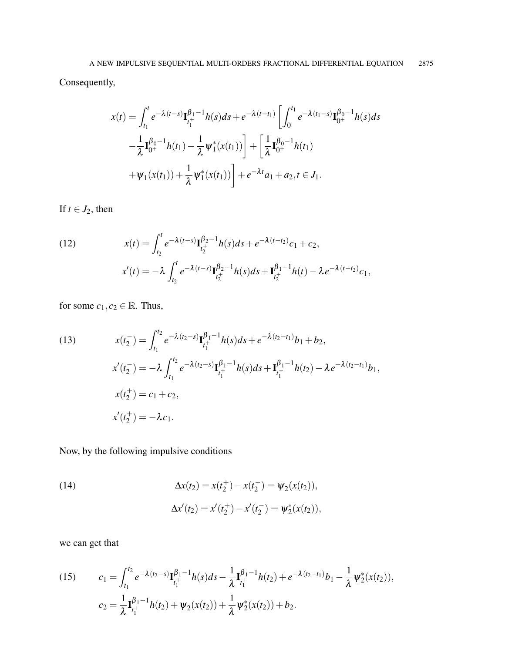Consequently,

$$
x(t) = \int_{t_1}^t e^{-\lambda(t-s)} \mathbf{I}_{t_1^+}^{\beta_1-1} h(s) ds + e^{-\lambda(t-t_1)} \left[ \int_0^{t_1} e^{-\lambda(t_1-s)} \mathbf{I}_{0^+}^{\beta_0-1} h(s) ds - \frac{1}{\lambda} \mathbf{I}_{0^+}^{\beta_0-1} h(t_1) - \frac{1}{\lambda} \psi_1^*(x(t_1)) \right] + \left[ \frac{1}{\lambda} \mathbf{I}_{0^+}^{\beta_0-1} h(t_1) + \psi_1(x(t_1)) + \frac{1}{\lambda} \psi_1^*(x(t_1)) \right] + e^{-\lambda t} a_1 + a_2, t \in J_1.
$$

If  $t \in J_2$ , then

(12) 
$$
x(t) = \int_{t_2}^t e^{-\lambda(t-s)} \mathbf{I}_{t_2^+}^{\beta_2-1} h(s) ds + e^{-\lambda(t-t_2)} c_1 + c_2,
$$

$$
x'(t) = -\lambda \int_{t_2}^t e^{-\lambda(t-s)} \mathbf{I}_{t_2^+}^{\beta_2-1} h(s) ds + \mathbf{I}_{t_2^+}^{\beta_1-1} h(t) - \lambda e^{-\lambda(t-t_2)} c_1,
$$

for some  $c_1, c_2 \in \mathbb{R}$ . Thus,

(13) 
$$
x(t_2^-) = \int_{t_1}^{t_2} e^{-\lambda(t_2 - s)} \mathbf{I}_{t_1^+}^{\beta_1 - 1} h(s) ds + e^{-\lambda(t_2 - t_1)} b_1 + b_2,
$$

$$
x'(t_2^-) = -\lambda \int_{t_1}^{t_2} e^{-\lambda(t_2 - s)} \mathbf{I}_{t_1^+}^{\beta_1 - 1} h(s) ds + \mathbf{I}_{t_1^+}^{\beta_1 - 1} h(t_2) - \lambda e^{-\lambda(t_2 - t_1)} b_1,
$$

$$
x(t_2^+) = c_1 + c_2,
$$

$$
x'(t_2^+) = -\lambda c_1.
$$

Now, by the following impulsive conditions

(14)  
\n
$$
\Delta x(t_2) = x(t_2^+) - x(t_2^-) = \psi_2(x(t_2)),
$$
\n
$$
\Delta x'(t_2) = x'(t_2^+) - x'(t_2^-) = \psi_2^*(x(t_2)),
$$

we can get that

(15) 
$$
c_1 = \int_{t_1}^{t_2} e^{-\lambda(t_2 - s)} \mathbf{I}_{t_1^+}^{\beta_1 - 1} h(s) ds - \frac{1}{\lambda} \mathbf{I}_{t_1^+}^{\beta_1 - 1} h(t_2) + e^{-\lambda(t_2 - t_1)} b_1 - \frac{1}{\lambda} \psi_2^*(x(t_2)),
$$

$$
c_2 = \frac{1}{\lambda} \mathbf{I}_{t_1^+}^{\beta_1 - 1} h(t_2) + \psi_2(x(t_2)) + \frac{1}{\lambda} \psi_2^*(x(t_2)) + b_2.
$$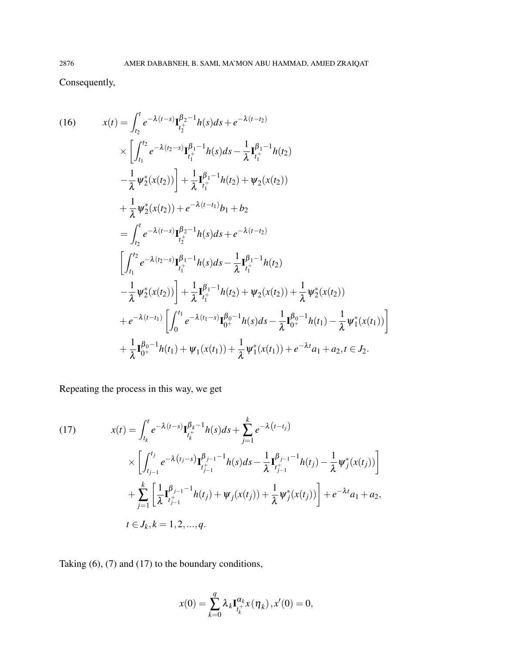Consequently,

(16) 
$$
x(t) = \int_{t_2}^{t} e^{-\lambda(t-s)} \mathbf{I}_{t_2^+}^{\beta_2-1} h(s) ds + e^{-\lambda(t-t_2)} \times \left[ \int_{t_1}^{t_2} e^{-\lambda(t_2-s)} \mathbf{I}_{t_1^+}^{\beta_1-1} h(s) ds - \frac{1}{\lambda} \mathbf{I}_{t_1^+}^{\beta_1-1} h(t_2) \right. \\ - \frac{1}{\lambda} \psi_2^*(x(t_2)) \right] + \frac{1}{\lambda} \mathbf{I}_{t_1^+}^{\beta_1-1} h(t_2) + \psi_2(x(t_2)) \left. + \frac{1}{\lambda} \psi_2^*(x(t_2)) + e^{-\lambda(t-t_1)} b_1 + b_2 \right. \left. = \int_{t_2}^{t} e^{-\lambda(t-s)} \mathbf{I}_{t_2^+}^{\beta_2-1} h(s) ds + e^{-\lambda(t-t_2)} \right. \\ \left. \left[ \int_{t_1}^{t_2} e^{-\lambda(t_2-s)} \mathbf{I}_{t_1^+}^{\beta_1-1} h(s) ds - \frac{1}{\lambda} \mathbf{I}_{t_1^+}^{\beta_1-1} h(t_2) \right. \left. - \frac{1}{\lambda} \psi_2^*(x(t_2)) \right] + \frac{1}{\lambda} \mathbf{I}_{t_1^+}^{\beta_1-1} h(t_2) + \psi_2(x(t_2)) + \frac{1}{\lambda} \psi_2^*(x(t_2)) \right. \\ + e^{-\lambda(t-t_1)} \left[ \int_0^{t_1} e^{-\lambda(t_1-s)} \mathbf{I}_{0^+}^{\beta_0-1} h(s) ds - \frac{1}{\lambda} \mathbf{I}_{0^+}^{\beta_0-1} h(t_1) - \frac{1}{\lambda} \psi_1^*(x(t_1)) \right] \left. + \frac{1}{\lambda} \mathbf{I}_{0^+}^{\beta_0-1} h(t_1) + \psi_1(x(t_1)) + \frac{1}{\lambda} \psi_1^*(x(t_1)) + e^{-\lambda t} a_1 + a_2, t \in J_2. \right.
$$

Repeating the process in this way, we get

(17) 
$$
x(t) = \int_{t_k}^{t} e^{-\lambda(t-s)} \mathbf{I}_{t_k^+}^{\beta_k - 1} h(s) ds + \sum_{j=1}^{k} e^{-\lambda(t-t_j)} \times \left[ \int_{t_{j-1}}^{t_j} e^{-\lambda(t_j - s)} \mathbf{I}_{t_{j-1}^+}^{\beta_{j-1} - 1} h(s) ds - \frac{1}{\lambda} \mathbf{I}_{t_{j-1}^+}^{\beta_{j-1} - 1} h(t_j) - \frac{1}{\lambda} \psi_j^*(x(t_j)) \right] + \sum_{j=1}^{k} \left[ \frac{1}{\lambda} \mathbf{I}_{t_{j-1}^+}^{\beta_{j-1} - 1} h(t_j) + \psi_j(x(t_j)) + \frac{1}{\lambda} \psi_j^*(x(t_j)) \right] + e^{-\lambda t} a_1 + a_2, t \in J_k, k = 1, 2, ..., q.
$$

Taking (6), (7) and (17) to the boundary conditions,

$$
x(0) = \sum_{k=0}^{q} \lambda_k \mathbf{I}_{t_k^+}^{\alpha_k} x(\eta_k), x'(0) = 0,
$$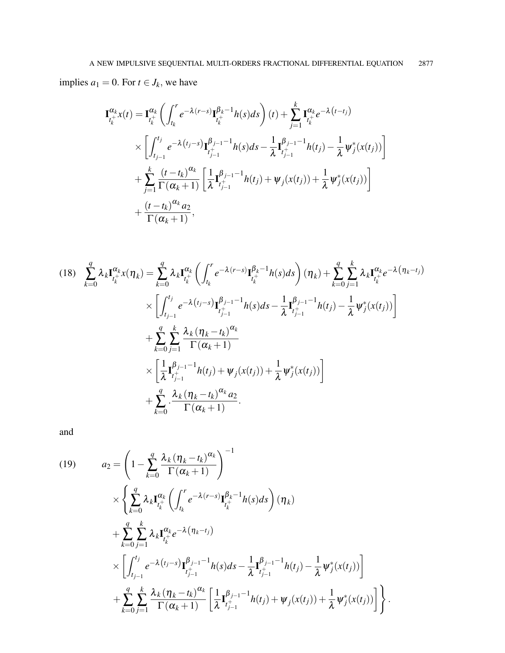implies  $a_1 = 0$ . For  $t \in J_k$ , we have

$$
\mathbf{I}_{t_k^+}^{\alpha_k} x(t) = \mathbf{I}_{t_k^+}^{\alpha_k} \left( \int_{t_k}^r e^{-\lambda(r-s)} \mathbf{I}_{t_k^+}^{\beta_k - 1} h(s) ds \right) (t) + \sum_{j=1}^k \mathbf{I}_{t_k^+}^{\alpha_k} e^{-\lambda(t - t_j)} \times \left[ \int_{t_{j-1}}^{t_j} e^{-\lambda(t_j - s)} \mathbf{I}_{t_{j-1}^+}^{\beta_{j-1} - 1} h(s) ds - \frac{1}{\lambda} \mathbf{I}_{t_{j-1}^+}^{\beta_{j-1} - 1} h(t_j) - \frac{1}{\lambda} \psi_j^* (x(t_j)) \right] \n+ \sum_{j=1}^k \frac{(t - t_k)^{\alpha_k}}{\Gamma(\alpha_k + 1)} \left[ \frac{1}{\lambda} \mathbf{I}_{t_{j-1}^+}^{\beta_{j-1} - 1} h(t_j) + \psi_j (x(t_j)) + \frac{1}{\lambda} \psi_j^* (x(t_j)) \right] \n+ \frac{(t - t_k)^{\alpha_k} a_2}{\Gamma(\alpha_k + 1)},
$$

$$
(18) \sum_{k=0}^{q} \lambda_{k} \mathbf{I}_{t_{k}^{+}}^{\alpha_{k}} x(\eta_{k}) = \sum_{k=0}^{q} \lambda_{k} \mathbf{I}_{t_{k}^{+}}^{\alpha_{k}} \left( \int_{t_{k}}^{r} e^{-\lambda(r-s)} \mathbf{I}_{t_{k}^{+}}^{\beta_{k}-1} h(s) ds \right) (\eta_{k}) + \sum_{k=0}^{q} \sum_{j=1}^{k} \lambda_{k} \mathbf{I}_{t_{k}^{+}}^{\alpha_{k}} e^{-\lambda(\eta_{k}-t_{j})} \times \left[ \int_{t_{j-1}}^{t_{j}} e^{-\lambda(t_{j}-s)} \mathbf{I}_{t_{j-1}^{+}}^{\beta_{j-1}-1} h(s) ds - \frac{1}{\lambda} \mathbf{I}_{t_{j-1}^{+}}^{\beta_{j-1}-1} h(t_{j}) - \frac{1}{\lambda} \psi_{j}^{*}(x(t_{j})) \right] \times \sum_{k=0}^{q} \sum_{j=1}^{k} \frac{\lambda_{k} (\eta_{k}-t_{k})^{\alpha_{k}}}{\Gamma(\alpha_{k}+1)} \times \left[ \frac{1}{\lambda} \mathbf{I}_{t_{j-1}^{+}}^{\beta_{j-1}-1} h(t_{j}) + \psi_{j}(x(t_{j})) + \frac{1}{\lambda} \psi_{j}^{*}(x(t_{j})) \right] \times \sum_{k=0}^{q} \frac{\lambda_{k} (\eta_{k}-t_{k})^{\alpha_{k}} a_{2}}{\Gamma(\alpha_{k}+1)}.
$$

and

(19) 
$$
a_2 = \left(1 - \sum_{k=0}^q \frac{\lambda_k (\eta_k - t_k)^{\alpha_k}}{\Gamma(\alpha_k + 1)}\right)^{-1} \times \left\{\sum_{k=0}^q \lambda_k \mathbf{I}_{t_k^+}^{\alpha_k} \left(\int_{t_k}^r e^{-\lambda(r-s)} \mathbf{I}_{t_k^+}^{\beta_k - 1} h(s) ds\right) (\eta_k) + \sum_{k=0}^q \sum_{j=1}^k \lambda_k \mathbf{I}_{t_k^+}^{\alpha_k} e^{-\lambda(\eta_k - t_j)} \times \left[\int_{t_{j-1}}^{t_j} e^{-\lambda(t_j - s)} \mathbf{I}_{t_{j-1}^+}^{\beta_{j-1} - 1} h(s) ds - \frac{1}{\lambda} \mathbf{I}_{t_{j-1}^+}^{\beta_{j-1} - 1} h(t_j) - \frac{1}{\lambda} \psi_j^*(x(t_j))\right] + \sum_{k=0}^q \sum_{j=1}^k \frac{\lambda_k (\eta_k - t_k)^{\alpha_k}}{\Gamma(\alpha_k + 1)} \left[\frac{1}{\lambda} \mathbf{I}_{t_{j-1}^+}^{\beta_{j-1} - 1} h(t_j) + \psi_j(x(t_j)) + \frac{1}{\lambda} \psi_j^*(x(t_j))\right]\right\}.
$$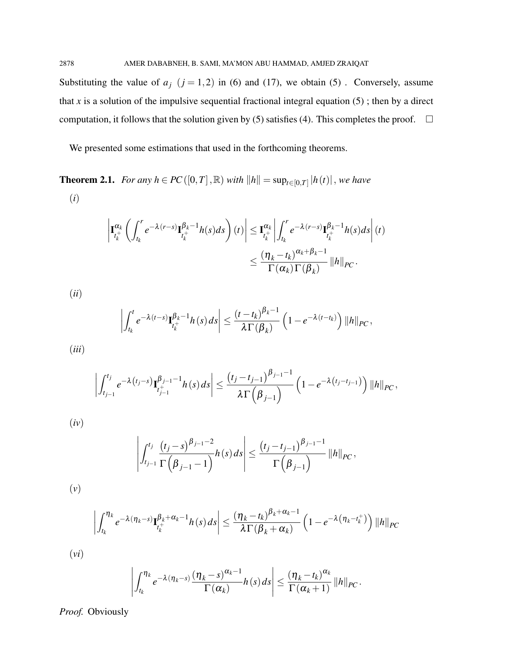Substituting the value of  $a_j$  ( $j = 1,2$ ) in (6) and (17), we obtain (5). Conversely, assume that *x* is a solution of the impulsive sequential fractional integral equation  $(5)$ ; then by a direct computation, it follows that the solution given by (5) satisfies (4). This completes the proof.  $\Box$ 

We presented some estimations that used in the forthcoming theorems.

**Theorem 2.1.** *For any h* ∈ *PC*([0,*T*], ℝ) *with*  $||h|| = \sup_{t \in [0,T]} |h(t)|$ , *we have* (*i*)

$$
\left|\mathbf{I}_{t_k^+}^{\alpha_k} \left( \int_{t_k}^r e^{-\lambda(r-s)} \mathbf{I}_{t_k^+}^{\beta_k-1} h(s) ds \right) (t) \right| \leq \mathbf{I}_{t_k^+}^{\alpha_k} \left| \int_{t_k}^r e^{-\lambda(r-s)} \mathbf{I}_{t_k^+}^{\beta_k-1} h(s) ds \right| (t)
$$
  

$$
\leq \frac{(\eta_k - t_k)^{\alpha_k + \beta_k - 1}}{\Gamma(\alpha_k) \Gamma(\beta_k)} ||h||_{PC}.
$$

(*ii*)  $\int_0^t$ *tk*  $e^{-\lambda(t-s)}$ **I** $_{i+}^{\beta_k-1}$  $\frac{\mu_k}{t_k^+}$   $h(s)$  ds  $\begin{array}{c} \begin{array}{c} \begin{array}{c} \end{array} \\ \begin{array}{c} \end{array} \end{array} \end{array}$  $\leq \frac{(t-t_k)^{\beta_k-1}}{2E(\beta_k)}$ λΓ(β*<sup>k</sup>* )  $\left(1-e^{-\lambda(t-t_k)}\right)$   $\|h\|_{PC}$ , (*iii*)

$$
\left| \int_{t_{j-1}}^{t_j} e^{-\lambda(t_j-s)} \mathbf{I}_{t_{j-1}^+}^{\beta_{j-1}-1} h(s) \, ds \right| \leq \frac{(t_j-t_{j-1})^{\beta_{j-1}-1}}{\lambda \Gamma(\beta_{j-1})} \left(1 - e^{-\lambda(t_j-t_{j-1})}\right) \|h\|_{PC},
$$

(*iv*)

$$
\left| \int_{t_{j-1}}^{t_j} \frac{(t_j-s)^{\beta_{j-1}-2}}{\Gamma(\beta_{j-1}-1)} h(s) ds \right| \leq \frac{(t_j-t_{j-1})^{\beta_{j-1}-1}}{\Gamma(\beta_{j-1})} ||h||_{PC},
$$

(*v*)

$$
\left| \int_{t_k}^{\eta_k} e^{-\lambda(\eta_k - s)} \mathbf{I}_{t_k^+}^{\beta_k + \alpha_k - 1} h(s) \, ds \right| \leq \frac{(\eta_k - t_k)^{\beta_k + \alpha_k - 1}}{\lambda \Gamma(\beta_k + \alpha_k)} \left( 1 - e^{-\lambda(\eta_k - t_k^+)} \right) \|h\|_{PC}
$$

(*vi*)

$$
\left|\int_{t_k}^{\eta_k} e^{-\lambda(\eta_k-s)} \frac{(\eta_k-s)^{\alpha_k-1}}{\Gamma(\alpha_k)} h(s) ds \right| \leq \frac{(\eta_k-t_k)^{\alpha_k}}{\Gamma(\alpha_k+1)} ||h||_{PC}.
$$

*Proof.* Obviously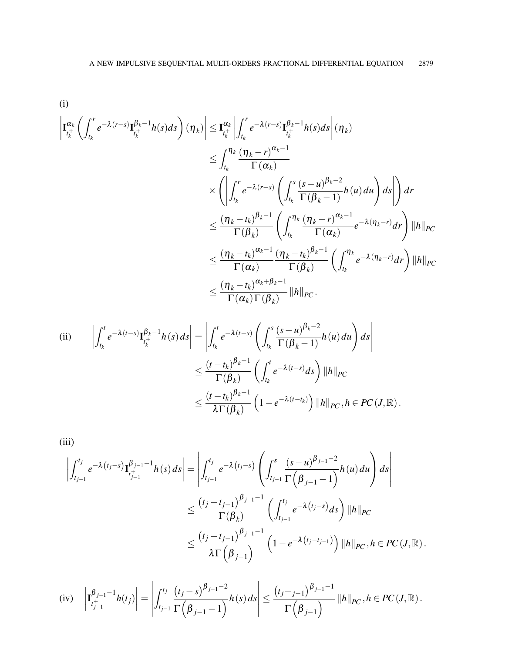(i)

$$
\left| \mathbf{I}_{t_k^+}^{\alpha_k} \left( \int_{t_k}^r e^{-\lambda (r-s)} \mathbf{I}_{t_k^+}^{\beta_k - 1} h(s) ds \right) (\eta_k) \right| \leq \mathbf{I}_{t_k^+}^{\alpha_k} \left| \int_{t_k}^r e^{-\lambda (r-s)} \mathbf{I}_{t_k^+}^{\beta_k - 1} h(s) ds \right| (\eta_k)
$$
\n
$$
\leq \int_{t_k}^{\eta_k} \frac{(\eta_k - r)^{\alpha_k - 1}}{\Gamma(\alpha_k)} \left( \int_{t_k}^s \frac{(s - u)^{\beta_k - 2}}{\Gamma(\beta_k - 1)} h(u) du \right) ds \right| dt
$$
\n
$$
\leq \frac{(\eta_k - t_k)^{\beta_k - 1}}{\Gamma(\beta_k)} \left( \int_{t_k}^{\eta_k} \frac{(\eta_k - r)^{\alpha_k - 1}}{\Gamma(\alpha_k)} e^{-\lambda (\eta_k - r)} dr \right) ||h||_{PC}
$$
\n
$$
\leq \frac{(\eta_k - t_k)^{\alpha_k - 1}}{\Gamma(\alpha_k)} \frac{(\eta_k - t_k)^{\beta_k - 1}}{\Gamma(\beta_k)} \left( \int_{t_k}^{\eta_k} e^{-\lambda (\eta_k - r)} dr \right) ||h||_{PC}
$$
\n
$$
\leq \frac{(\eta_k - t_k)^{\alpha_k + \beta_k - 1}}{\Gamma(\alpha_k) \Gamma(\beta_k)} ||h||_{PC}.
$$

(ii) 
$$
\left| \int_{t_k}^t e^{-\lambda(t-s)} \mathbf{I}_{t_k^+}^{\beta_k-1} h(s) ds \right| = \left| \int_{t_k}^t e^{-\lambda(t-s)} \left( \int_{t_k}^s \frac{(s-u)^{\beta_k-2}}{\Gamma(\beta_k-1)} h(u) du \right) ds \right|
$$
  

$$
\leq \frac{(t-t_k)^{\beta_k-1}}{\Gamma(\beta_k)} \left( \int_{t_k}^t e^{-\lambda(t-s)} ds \right) ||h||_{PC}
$$
  

$$
\leq \frac{(t-t_k)^{\beta_k-1}}{\lambda \Gamma(\beta_k)} \left( 1 - e^{-\lambda(t-t_k)} \right) ||h||_{PC}, h \in PC(J, \mathbb{R}).
$$

(iii)

$$
\left| \int_{t_{j-1}}^{t_j} e^{-\lambda(t_j-s)} \mathbf{I}_{t_{j-1}+1}^{\beta_{j-1}-1} h(s) ds \right| = \left| \int_{t_{j-1}}^{t_j} e^{-\lambda(t_j-s)} \left( \int_{t_{j-1}}^s \frac{(s-u)^{\beta_{j-1}-2}}{\Gamma(\beta_{j-1}-1)} h(u) du \right) ds \right|
$$
  

$$
\leq \frac{(t_j-t_{j-1})^{\beta_{j-1}-1}}{\Gamma(\beta_k)} \left( \int_{t_{j-1}}^{t_j} e^{-\lambda(t_j-s)} ds \right) ||h||_{PC}
$$
  

$$
\leq \frac{(t_j-t_{j-1})^{\beta_{j-1}-1}}{\lambda \Gamma(\beta_{j-1})} \left( 1 - e^{-\lambda(t_j-t_{j-1})} \right) ||h||_{PC}, h \in PC(J, \mathbb{R}).
$$

(iv) 
$$
\left| \mathbf{I}_{t_{j-1}^+}^{\beta_{j-1}-1} h(t_j) \right| = \left| \int_{t_{j-1}}^{t_j} \frac{(t_j-s)^{\beta_{j-1}-2}}{\Gamma(\beta_{j-1}-1)} h(s) ds \right| \leq \frac{(t_j-j-1)^{\beta_{j-1}-1}}{\Gamma(\beta_{j-1})} ||h||_{PC}, h \in PC(J, \mathbb{R}).
$$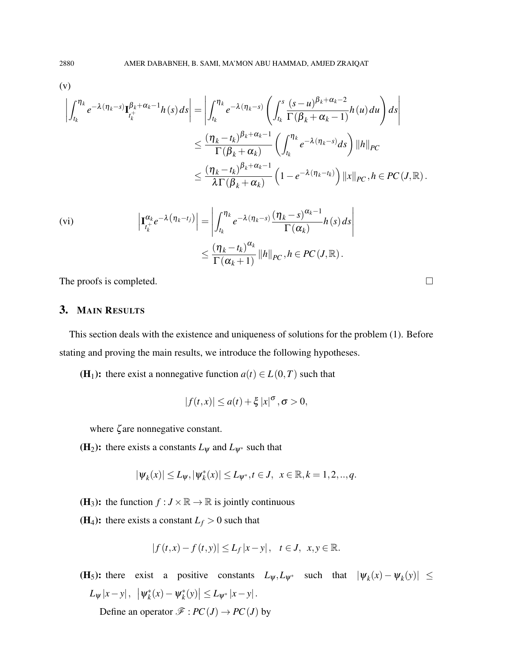$$
\left( v\right)
$$

$$
\left| \int_{t_k}^{\eta_k} e^{-\lambda(\eta_k - s)} \mathbf{I}_{t_k^+}^{\beta_k + \alpha_k - 1} h(s) ds \right| = \left| \int_{t_k}^{\eta_k} e^{-\lambda(\eta_k - s)} \left( \int_{t_k}^s \frac{(s - u)^{\beta_k + \alpha_k - 2}}{\Gamma(\beta_k + \alpha_k - 1)} h(u) du \right) ds \right|
$$
  

$$
\leq \frac{(\eta_k - t_k)^{\beta_k + \alpha_k - 1}}{\Gamma(\beta_k + \alpha_k)} \left( \int_{t_k}^{\eta_k} e^{-\lambda(\eta_k - s)} ds \right) ||h||_{PC}
$$
  

$$
\leq \frac{(\eta_k - t_k)^{\beta_k + \alpha_k - 1}}{\lambda \Gamma(\beta_k + \alpha_k)} \left( 1 - e^{-\lambda(\eta_k - t_k)} \right) ||x||_{PC}, h \in PC(J, \mathbb{R}).
$$

$$
\begin{aligned} \text{(vi)} \qquad & \left| \mathbf{I}_{t_k^+}^{\alpha_k} e^{-\lambda \left( \eta_k - t_j \right)} \right| = \left| \int_{t_k}^{\eta_k} e^{-\lambda \left( \eta_k - s \right)} \frac{\left( \eta_k - s \right)^{\alpha_k - 1}}{\Gamma(\alpha_k)} h(s) \, ds \right| \\ &\leq \frac{\left( \eta_k - t_k \right)^{\alpha_k}}{\Gamma(\alpha_k + 1)} \, \|h\|_{PC}, h \in PC(J, \mathbb{R}). \end{aligned}
$$

The proofs is completed.  $\Box$ 

# 3. MAIN RESULTS

This section deals with the existence and uniqueness of solutions for the problem (1). Before stating and proving the main results, we introduce the following hypotheses.

(H<sub>1</sub>): there exist a nonnegative function  $a(t) \in L(0,T)$  such that

$$
|f(t,x)| \leq a(t) + \xi |x|^{\sigma}, \sigma > 0,
$$

where ζ are nonnegative constant.

(H<sub>2</sub>): there exists a constants  $L_{\psi}$  and  $L_{\psi^*}$  such that

$$
|\psi_k(x)| \le L_{\psi}, |\psi_k^*(x)| \le L_{\psi^*}, t \in J, \ \ x \in \mathbb{R}, k = 1, 2, ..., q.
$$

(H<sub>3</sub>): the function  $f : J \times \mathbb{R} \to \mathbb{R}$  is jointly continuous

(**H**<sub>4</sub>): there exists a constant  $L_f > 0$  such that

$$
|f(t,x)-f(t,y)|\leq L_f|x-y|, \quad t\in J, \quad x,y\in\mathbb{R}.
$$

(H<sub>5</sub>): there exist a positive constants  $L_{\psi}, L_{\psi^*}$  such that  $|\psi_k(x) - \psi_k(y)| \le$  $L_{\psi}|x-y|, \|\psi_k^*\|$ *k* (*x*)−ψ ∗  $\left| \int_{k}^{*}(y) \right| \leq L_{\psi^{*}} |x-y|.$ 

Define an operator  $\mathscr{F} : PC(J) \to PC(J)$  by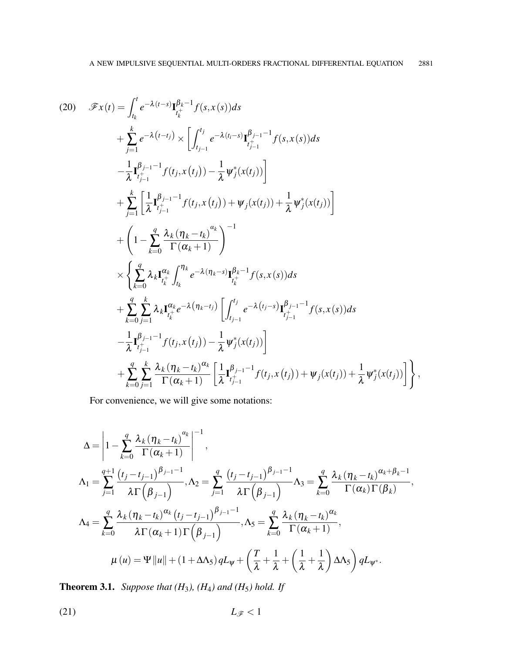$$
(20) \mathscr{F}x(t) = \int_{t_k}^{t} e^{-\lambda(t-s)} \mathbf{I}_{t_k^+}^{\beta_k - 1} f(s, x(s)) ds \n+ \sum_{j=1}^{k} e^{-\lambda(t-t_j)} \times \left[ \int_{t_{j-1}}^{t_j} e^{-\lambda(t_i - s)} \mathbf{I}_{t_{j-1}^+}^{\beta_{j-1} - 1} f(s, x(s)) ds \n- \frac{1}{\lambda} \mathbf{I}_{t_{j-1}^+}^{\beta_{j-1} - 1} f(t_j, x(t_j)) - \frac{1}{\lambda} \psi_j^*(x(t_j)) \right] \n+ \sum_{j=1}^{k} \left[ \frac{1}{\lambda} \mathbf{I}_{t_{j-1}^+}^{\beta_{j-1} - 1} f(t_j, x(t_j)) + \psi_j(x(t_j)) + \frac{1}{\lambda} \psi_j^*(x(t_j)) \right] \n+ \left( 1 - \sum_{k=0}^{q} \frac{\lambda_k (\eta_k - t_k)}{\Gamma(\alpha_k + 1)} \right)^{-1} \n\times \left\{ \sum_{k=0}^{q} \lambda_k \mathbf{I}_{t_k^+}^{\alpha_k} \int_{t_k}^{\eta_k} e^{-\lambda(\eta_k - s)} \mathbf{I}_{t_k^+}^{\beta_k - 1} f(s, x(s)) ds \n+ \sum_{k=0}^{q} \sum_{j=1}^{k} \lambda_k \mathbf{I}_{t_k^+}^{\alpha_k} e^{-\lambda(\eta_k - t_j)} \left[ \int_{t_{j-1}^-}^{t_j} e^{-\lambda(t_j - s)} \mathbf{I}_{t_{j-1}^+}^{\beta_{j-1} - 1} f(s, x(s)) ds \n- \frac{1}{\lambda} \mathbf{I}_{t_{j-1}^+}^{\beta_{j-1} - 1} f(t_j, x(t_j)) - \frac{1}{\lambda} \psi_j^*(x(t_j)) \right] \n+ \sum_{k=0}^{q} \sum_{j=1}^{k} \frac{\lambda_k (\eta_k - t_k)^{\alpha_k}}{\Gamma(\alpha_k + 1)} \left[ \frac{1}{\lambda} \mathbf{I}_{t_{j-1}^+}^{\beta_{j-1} - 1} f(t_j, x(t_j)) + \psi_j(x(t_j)) + \frac{1}{\lambda} \psi_j^*(x(t_j)) \right],
$$

For convenience, we will give some notations:

$$
\Delta = \left| 1 - \sum_{k=0}^{q} \frac{\lambda_k (\eta_k - t_k)^{\alpha_k}}{\Gamma(\alpha_k + 1)} \right|^{-1},
$$
  
\n
$$
\Lambda_1 = \sum_{j=1}^{q+1} \frac{(t_j - t_{j-1})^{\beta_{j-1} - 1}}{\lambda \Gamma(\beta_{j-1})}, \Lambda_2 = \sum_{j=1}^{q} \frac{(t_j - t_{j-1})^{\beta_{j-1} - 1}}{\lambda \Gamma(\beta_{j-1})} \Lambda_3 = \sum_{k=0}^{q} \frac{\lambda_k (\eta_k - t_k)^{\alpha_k + \beta_k - 1}}{\Gamma(\alpha_k) \Gamma(\beta_k)},
$$
  
\n
$$
\Lambda_4 = \sum_{k=0}^{q} \frac{\lambda_k (\eta_k - t_k)^{\alpha_k} (t_j - t_{j-1})^{\beta_{j-1} - 1}}{\lambda \Gamma(\alpha_k + 1) \Gamma(\beta_{j-1})}, \Lambda_5 = \sum_{k=0}^{q} \frac{\lambda_k (\eta_k - t_k)^{\alpha_k}}{\Gamma(\alpha_k + 1)},
$$
  
\n
$$
\mu(u) = \Psi \|u\| + (1 + \Delta \Lambda_5) q L_{\Psi} + \left(\frac{T}{\lambda} + \frac{1}{\lambda} + \left(\frac{1}{\lambda} + \frac{1}{\lambda}\right) \Delta \Lambda_5\right) q L_{\Psi^*}.
$$

**Theorem 3.1.** *Suppose that*  $(H_3)$ *,*  $(H_4)$  *and*  $(H_5)$  *hold.* If

$$
(21) \t\t L_{\mathscr{F}}<1
$$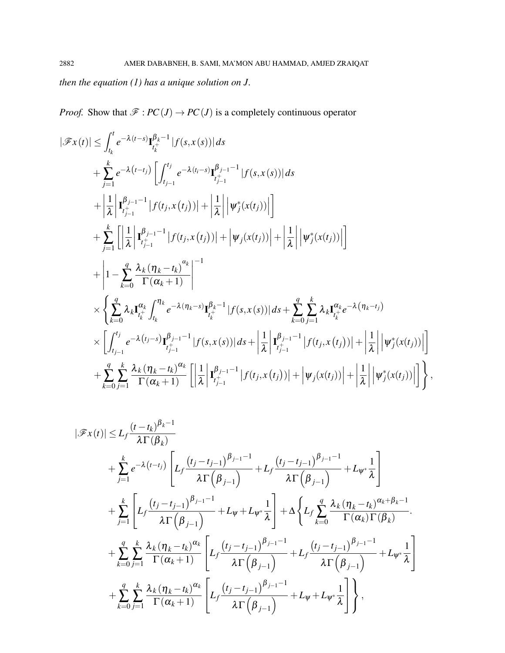*then the equation (1) has a unique solution on J.*

*Proof.* Show that  $\mathcal{F}: PC(J) \to PC(J)$  is a completely continuous operator

$$
|\mathcal{F}x(t)| \leq \int_{t_k}^{t} e^{-\lambda(t-s)} \mathbf{I}_{t_k^+}^{\beta_k-1} |f(s,x(s))| ds
$$
  
+ 
$$
\sum_{j=1}^{k} e^{-\lambda(t-t_j)} \left[ \int_{t_{j-1}}^{t_j} e^{-\lambda(t-s)} \mathbf{I}_{t_{j-1}^+}^{\beta_{j-1}-1} |f(s,x(s))| ds \right.
$$
  
+ 
$$
\left| \frac{1}{\lambda} \left| \mathbf{I}_{t_{j-1}^+}^{\beta_{j-1}-1} |f(t_j,x(t_j))| + \left| \frac{1}{\lambda} \right| \left| \psi_j^*(x(t_j)) \right| \right| \right.
$$
  
+ 
$$
\sum_{j=1}^{k} \left[ \left| \frac{1}{\lambda} \left| \mathbf{I}_{t_{j-1}^+}^{\beta_{j-1}-1} |f(t_j,x(t_j))| + \left| \psi_j(x(t_j)) \right| + \left| \frac{1}{\lambda} \right| \left| \psi_j^*(x(t_j)) \right| \right] \right.
$$
  
+ 
$$
\left| 1 - \sum_{k=0}^{q} \frac{\lambda_k (n_k - t_k)^{\alpha_k}}{\Gamma(\alpha_k + 1)} \right|^{-1}
$$
  

$$
\times \left\{ \sum_{k=0}^{q} \lambda_k \mathbf{I}_{t_k^+}^{\alpha_k} \int_{t_k}^{n_k} e^{-\lambda(n_k - s)} \mathbf{I}_{t_k^+}^{\beta_k - 1} |f(s, x(s))| ds + \sum_{k=0}^{q} \sum_{j=1}^{k} \lambda_k \mathbf{I}_{t_k^+}^{\alpha_k} e^{-\lambda(n_k - t_j)}
$$
  

$$
\times \left[ \int_{t_{j-1}}^{t_j} e^{-\lambda(t_j - s)} \mathbf{I}_{t_{j-1}^+}^{\beta_{j-1}-1} |f(s, x(s))| ds + \left| \frac{1}{\lambda} \left| \mathbf{I}_{t_{j-1}^+}^{\beta_{j-1}-1} |f(t_j, x(t_j))| + \left| \frac{1}{\lambda} \right| \left| \psi_j^*(x(t_j)) \right| \right| \right. \right.
$$
  
+ 
$$
\sum_{k=0}^{q} \sum_{j=1}^{k} \frac{\lambda_k (n_k - t_k)^{\alpha_k}}{\Gamma(\alpha_k +
$$

$$
|\mathscr{F}x(t)| \leq L_f \frac{(t-t_k)^{\beta_k-1}}{\lambda \Gamma(\beta_k)} + \sum_{j=1}^k e^{-\lambda(t-t_j)} \left[ L_f \frac{(t_j-t_{j-1})^{\beta_{j-1}-1}}{\lambda \Gamma(\beta_{j-1})} + L_f \frac{(t_j-t_{j-1})^{\beta_{j-1}-1}}{\lambda \Gamma(\beta_{j-1})} + L_{\psi^*} \frac{1}{\lambda} \right] + \sum_{j=1}^k \left[ L_f \frac{(t_j-t_{j-1})^{\beta_{j-1}-1}}{\lambda \Gamma(\beta_{j-1})} + L_{\psi^*} \frac{1}{\lambda} \right] + \Delta \left\{ L_f \sum_{k=0}^q \frac{\lambda_k (\eta_k - t_k)^{\alpha_k + \beta_k - 1}}{\Gamma(\alpha_k) \Gamma(\beta_k)} + \sum_{k=0}^q \sum_{j=1}^k \frac{\lambda_k (\eta_k - t_k)^{\alpha_k}}{\Gamma(\alpha_k + 1)} \left[ L_f \frac{(t_j - t_{j-1})^{\beta_{j-1}-1}}{\lambda \Gamma(\beta_{j-1})} + L_f \frac{(t_j - t_{j-1})^{\beta_{j-1}-1}}{\lambda \Gamma(\beta_{j-1})} + L_{\psi^*} \frac{1}{\lambda} \right] + \sum_{k=0}^q \sum_{j=1}^k \frac{\lambda_k (\eta_k - t_k)^{\alpha_k}}{\Gamma(\alpha_k + 1)} \left[ L_f \frac{(t_j - t_{j-1})^{\beta_{j-1}-1}}{\lambda \Gamma(\beta_{j-1})} + L_{\psi^*} \frac{1}{\lambda} \right],
$$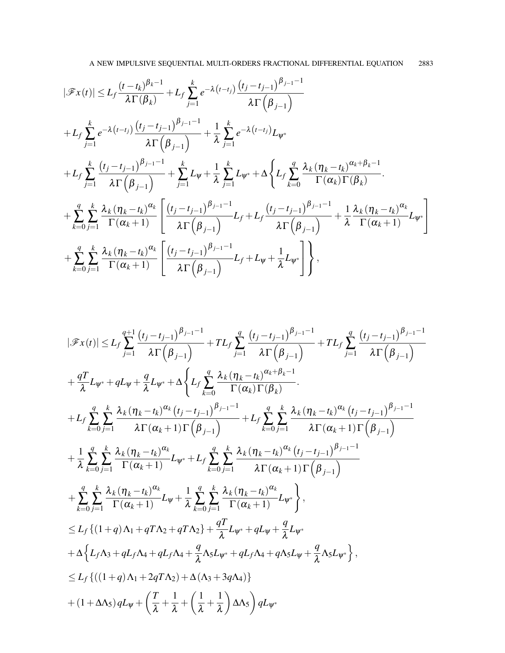$$
|\mathcal{F}x(t)| \leq L_f \frac{(t-t_k)^{\beta_k-1}}{\lambda \Gamma(\beta_k)} + L_f \sum_{j=1}^k e^{-\lambda(t-t_j)} \frac{(t_j - t_{j-1})^{\beta_{j-1}-1}}{\lambda \Gamma(\beta_{j-1})} + L_f \sum_{j=1}^k e^{-\lambda(t-t_j)} \frac{(t_j - t_{j-1})^{\beta_{j-1}-1}}{\lambda \Gamma(\beta_{j-1})} + \frac{1}{\lambda} \sum_{j=1}^k e^{-\lambda(t-t_j)} L_{\psi^*}
$$
  
+  $L_f \sum_{j=1}^k \frac{(t_j - t_{j-1})^{\beta_{j-1}-1}}{\lambda \Gamma(\beta_{j-1})} + \sum_{j=1}^k L_{\psi} + \frac{1}{\lambda} \sum_{j=1}^k L_{\psi^*} + \Delta \left\{ L_f \sum_{k=0}^q \frac{\lambda_k (\eta_k - t_k)^{\alpha_k + \beta_k - 1}}{\Gamma(\alpha_k) \Gamma(\beta_k)} \right\} + \sum_{k=0}^q \sum_{j=1}^k \frac{\lambda_k (\eta_k - t_k)^{\alpha_k}}{\Gamma(\alpha_k + 1)} \left[ \frac{(t_j - t_{j-1})^{\beta_{j-1}-1}}{\lambda \Gamma(\beta_{j-1})} L_f + L_f \frac{(t_j - t_{j-1})^{\beta_{j-1}-1}}{\lambda \Gamma(\beta_{j-1})} + \frac{1}{\lambda} \frac{\lambda_k (\eta_k - t_k)^{\alpha_k}}{\Gamma(\alpha_k + 1)} L_{\psi^*} \right] + \sum_{k=0}^q \sum_{j=1}^k \frac{\lambda_k (\eta_k - t_k)^{\alpha_k}}{\Gamma(\alpha_k + 1)} \left[ \frac{(t_j - t_{j-1})^{\beta_{j-1}-1}}{\lambda \Gamma(\beta_{j-1})} L_f + L_{\psi} + \frac{1}{\lambda} L_{\psi^*} \right] \right\},$ 

$$
|\mathscr{F}x(t)| \leq L_f \sum_{j=1}^{q+1} \frac{(t_j - t_{j-1})^{\beta_{j-1}-1}}{\lambda \Gamma(\beta_{j-1})} + TL_f \sum_{j=1}^{q} \frac{(t_j - t_{j-1})^{\beta_{j-1}-1}}{\lambda \Gamma(\beta_{j-1})} + TL_f \sum_{j=1}^{q} \frac{(t_j - t_{j-1})^{\beta_{j-1}-1}}{\lambda \Gamma(\beta_{j-1})} \n+ \frac{qT}{\lambda}L_{\psi^*} + qL_{\psi} + \frac{q}{\lambda}L_{\psi^*} + \Delta \Bigg\{L_f \sum_{k=0}^{q} \frac{\lambda_k (\eta_k - t_k)^{\alpha_k + \beta_k - 1}}{\Gamma(\alpha_k) \Gamma(\beta_k)}.
$$
\n
$$
+ L_f \sum_{k=0}^{q} \sum_{j=1}^{k} \frac{\lambda_k (\eta_k - t_k)^{\alpha_k} (t_j - t_{j-1})^{\beta_{j-1}-1}}{\lambda \Gamma(\alpha_k + 1) \Gamma(\beta_{j-1})} + L_f \sum_{k=0}^{q} \sum_{j=1}^{k} \frac{\lambda_k (\eta_k - t_k)^{\alpha_k} (t_j - t_{j-1})^{\beta_{j-1}-1}}{\lambda \Gamma(\alpha_k + 1) \Gamma(\beta_{j-1})} \n+ \frac{1}{\lambda} \sum_{k=0}^{q} \sum_{j=1}^{k} \frac{\lambda_k (\eta_k - t_k)^{\alpha_k}}{\Gamma(\alpha_k + 1)} L_{\psi^*} + L_f \sum_{k=0}^{q} \sum_{j=1}^{k} \frac{\lambda_k (\eta_k - t_k)^{\alpha_k} (t_j - t_{j-1})^{\beta_{j-1}-1}}{\lambda \Gamma(\alpha_k + 1) \Gamma(\beta_{j-1})} \n+ \sum_{k=0}^{q} \sum_{j=1}^{k} \frac{\lambda_k (\eta_k - t_k)^{\alpha_k}}{\Gamma(\alpha_k + 1)} L_{\psi^*} + L_f \sum_{k=0}^{q} \sum_{j=1}^{k} \frac{\lambda_k (\eta_k - t_k)^{\alpha_k}}{\lambda \Gamma(\alpha_k + 1)} L_{\psi^*} \Bigg\},
$$
\n
$$
\leq L_f \left\{ (1+q) \Lambda_1 + qT\Lambda_2 + qT\Lambda_2 \right\} + \frac{qT}{\lambda} L_{\psi^*} + qL_{\psi} + \frac
$$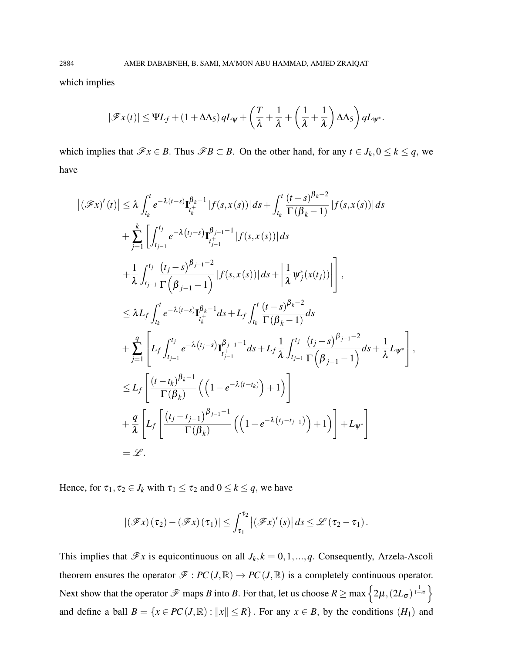which implies

$$
|\mathscr{F}x(t)| \leq \Psi L_f + (1 + \Delta \Lambda_5) q L_{\Psi} + \left(\frac{T}{\lambda} + \frac{1}{\lambda} + \left(\frac{1}{\lambda} + \frac{1}{\lambda}\right) \Delta \Lambda_5\right) q L_{\Psi^*}.
$$

which implies that  $\mathscr{F}x \in B$ . Thus  $\mathscr{F}B \subset B$ . On the other hand, for any  $t \in J_k$ ,  $0 \le k \le q$ , we have

$$
\left| (\mathscr{F}x)'(t) \right| \leq \lambda \int_{t_k}^{t} e^{-\lambda(t-s)} \mathbf{I}_{t_k^{+}}^{\beta_k - 1} |f(s, x(s))| ds + \int_{t_k}^{t} \frac{(t-s)^{\beta_k - 2}}{\Gamma(\beta_k - 1)} |f(s, x(s))| ds \n+ \sum_{j=1}^{k} \left[ \int_{t_{j-1}}^{t_j} e^{-\lambda(t_j - s)} \mathbf{I}_{t_{j-1}^{+}}^{\beta_{j-1} - 1} |f(s, x(s))| ds \n+ \frac{1}{\lambda} \int_{t_{j-1}}^{t_j} \frac{(t_j - s)^{\beta_{j-1} - 2}}{\Gamma(\beta_{j-1} - 1)} |f(s, x(s))| ds + \left| \frac{1}{\lambda} \psi_j^*(x(t_j)) \right| \right], \n\leq \lambda L_f \int_{t_k}^{t} e^{-\lambda(t-s)} \mathbf{I}_{t_k^{+}}^{\beta_k - 1} ds + L_f \int_{t_k}^{t} \frac{(t - s)^{\beta_k - 2}}{\Gamma(\beta_k - 1)} ds \n+ \sum_{j=1}^{q} \left[ L_f \int_{t_{j-1}}^{t_j} e^{-\lambda(t_j - s)} \mathbf{I}_{t_{j-1}^{+}}^{\beta_{j-1} - 1} ds + L_f \frac{1}{\lambda} \int_{t_{j-1}}^{t_j} \frac{(t_j - s)^{\beta_{j-1} - 2}}{\Gamma(\beta_{j-1} - 1)} ds + \frac{1}{\lambda} L_{\psi^*} \right], \n\leq L_f \left[ \frac{(t - t_k)^{\beta_k - 1}}{\Gamma(\beta_k)} \left( \left( 1 - e^{-\lambda(t - t_k)} \right) + 1 \right) \right] \n+ \frac{q}{\lambda} \left[ L_f \left[ \frac{(t_j - t_{j-1})^{\beta_{j-1} - 1}}{\Gamma(\beta_k)} \left( \left( 1 - e^{-\lambda(t_j - t_{j-1})} \right) + 1 \right) \right] + L_{\psi^*} \right] \n= \mathscr{L}.
$$

Hence, for  $\tau_1, \tau_2 \in J_k$  with  $\tau_1 \leq \tau_2$  and  $0 \leq k \leq q$ , we have

$$
|(\mathscr{F}x)(\tau_2)-(\mathscr{F}x)(\tau_1)|\leq \int_{\tau_1}^{\tau_2}|(\mathscr{F}x)'(s)|ds\leq \mathscr{L}(\tau_2-\tau_1).
$$

This implies that  $\mathscr{F}x$  is equicontinuous on all  $J_k$ ,  $k = 0, 1, ..., q$ . Consequently, Arzela-Ascoli theorem ensures the operator  $\mathscr{F}: PC(J, \mathbb{R}) \to PC(J, \mathbb{R})$  is a completely continuous operator. Next show that the operator  $\mathscr F$  maps *B* into *B*. For that, let us choose  $R \ge \max\left\{2\mu, (2L_{\sigma})^{\frac{1}{1-\sigma}}\right\}$ and define a ball  $B = \{x \in PC(J, \mathbb{R}) : ||x|| \le R\}$ . For any  $x \in B$ , by the conditions  $(H_1)$  and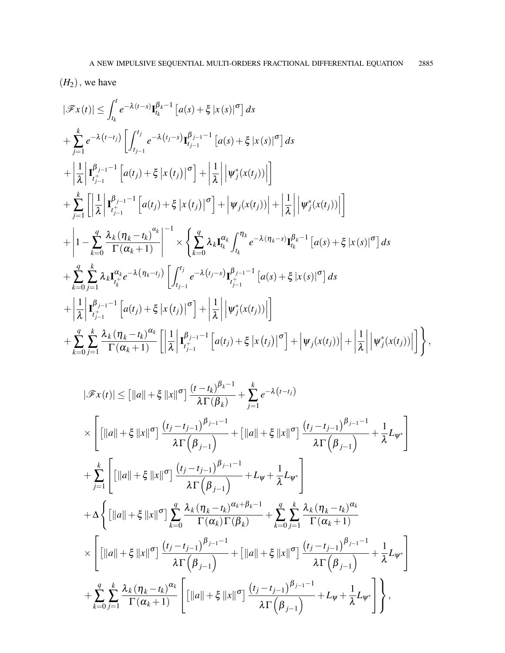$(H_2)$ , we have

$$
|\mathscr{F}x(t)| \leq \int_{t_k}^{t} e^{-\lambda(t-s)} \mathbf{I}_{t_k}^{\beta_k-1} [a(s) + \xi |x(s)|^{\sigma}] ds + \sum_{j=1}^{k} e^{-\lambda(t-t_j)} \left[ \int_{t_{j-1}}^{t_j} e^{-\lambda(t_j-s)} \mathbf{I}_{t_{j-1}}^{\beta_{j-1}-1} [a(s) + \xi |x(s)|^{\sigma}] ds + \left| \frac{1}{\lambda} \left| \mathbf{I}_{t_{j-1}}^{\beta_{j-1}-1} [a(t_j) + \xi |x(t_j)|^{\sigma}] + \left| \frac{1}{\lambda} \right| \left| \psi_j^*(x(t_j)) \right| \right| \right] + \sum_{j=1}^{k} \left[ \left| \frac{1}{\lambda} \left| \mathbf{I}_{t_{j-1}}^{\beta_{j-1}-1} [a(t_j) + \xi |x(t_j)|^{\sigma}] + \left| \psi_j(x(t_j)) \right| + \left| \frac{1}{\lambda} \right| \left| \psi_j^*(x(t_j)) \right| \right] \right] + \left| 1 - \sum_{k=0}^{q} \frac{\lambda_k (\eta_k - t_k)^{\alpha_k}}{\Gamma(\alpha_k + 1)} \right|^{-1} \times \left\{ \sum_{k=0}^{q} \lambda_k \mathbf{I}_{t_k}^{\alpha_k} \int_{t_k}^{\eta_k} e^{-\lambda(\eta_k - s)} \mathbf{I}_{t_k}^{\beta_k - 1} [a(s) + \xi |x(s)|^{\sigma}] ds + \sum_{k=0}^{q} \sum_{j=1}^{k} \lambda_k \mathbf{I}_{t_k}^{\alpha_k} e^{-\lambda(\eta_k - t_j)} [ \int_{t_{j-1}}^{t_j} e^{-\lambda(t_j - s)} \mathbf{I}_{t_{j-1}}^{\beta_{j-1}-1} [a(s) + \xi |x(s)|^{\sigma}] ds + \left| \frac{1}{\lambda} \left| \mathbf{I}_{t_{j-1}}^{\beta_{j-1}-1} [a(t_j) + \xi |x(t_j)|^{\sigma}] + \left| \frac{1}{\lambda} \right| \left| \psi_j^*(x(t_j)) \right| \right| \right] + \sum_{k=0}^{q} \sum_{j=1}^{k} \frac{\lambda_k(\eta_k - t_k)^{\alpha_k}}{\Gamma(\alpha_k + 1)} [ \left| \frac{1}{\lambda} \left| \
$$

$$
|\mathcal{F}x(t)| \leq [||a|| + \xi ||x||^{\sigma}] \frac{(t-t_k)^{\beta_k-1}}{\lambda \Gamma(\beta_k)} + \sum_{j=1}^{k} e^{-\lambda(t-t_j)} \times \left[ [||a|| + \xi ||x||^{\sigma}] \frac{(t_j - t_{j-1})^{\beta_{j-1}-1}}{\lambda \Gamma(\beta_{j-1})} + [||a|| + \xi ||x||^{\sigma}] \frac{(t_j - t_{j-1})^{\beta_{j-1}-1}}{\lambda \Gamma(\beta_{j-1})} + \frac{1}{\lambda} L_{\psi^*} \right] + \sum_{j=1}^{k} \left[ [||a|| + \xi ||x||^{\sigma}] \frac{(t_j - t_{j-1})^{\beta_{j-1}-1}}{\lambda \Gamma(\beta_{j-1})} + L_{\psi} + \frac{1}{\lambda} L_{\psi^*} \right] + \Delta \left\{ [||a|| + \xi ||x||^{\sigma}] \sum_{k=0}^{q} \frac{\lambda_k (\eta_k - t_k)^{\alpha_k + \beta_k - 1}}{\Gamma(\alpha_k) \Gamma(\beta_k)} + \sum_{k=0}^{q} \sum_{j=1}^{k} \frac{\lambda_k (\eta_k - t_k)^{\alpha_k}}{\Gamma(\alpha_k + 1)} \times \left[ [||a|| + \xi ||x||^{\sigma}] \frac{(t_j - t_{j-1})^{\beta_{j-1}-1}}{\lambda \Gamma(\beta_{j-1})} + [||a|| + \xi ||x||^{\sigma}] \frac{(t_j - t_{j-1})^{\beta_{j-1}-1}}{\lambda \Gamma(\beta_{j-1})} + \frac{1}{\lambda} L_{\psi^*} \right] + \sum_{k=0}^{q} \sum_{j=1}^{k} \frac{\lambda_k (\eta_k - t_k)^{\alpha_k}}{\Gamma(\alpha_k + 1)} \left[ [||a|| + \xi ||x||^{\sigma}] \frac{(t_j - t_{j-1})^{\beta_{j-1}-1}}{\lambda \Gamma(\beta_{j-1})} + L_{\psi} + \frac{1}{\lambda} L_{\psi^*} \right] \right\},
$$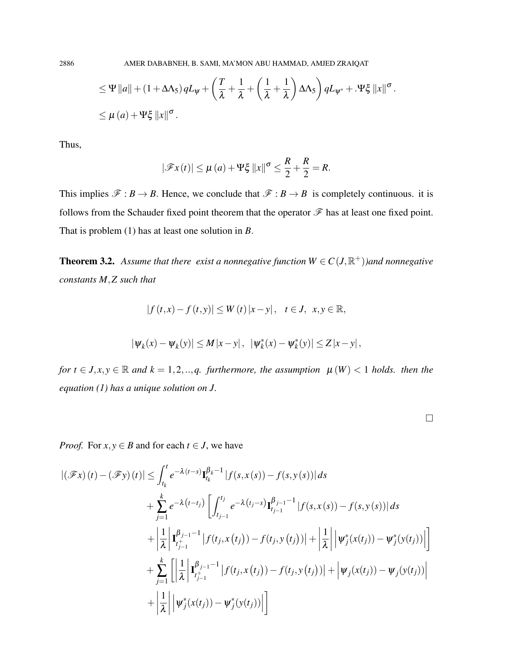$$
\leq \Psi \|a\| + (1 + \Delta \Lambda_5) q L_{\Psi} + \left(\frac{T}{\lambda} + \frac{1}{\lambda} + \left(\frac{1}{\lambda} + \frac{1}{\lambda}\right) \Delta \Lambda_5\right) q L_{\Psi^*} + \Psi \xi \|x\|^{\sigma}.
$$
  

$$
\leq \mu (a) + \Psi \xi \|x\|^{\sigma}.
$$

Thus,

$$
|\mathscr{F}x(t)| \leq \mu(a) + \Psi\xi \|x\|^{\sigma} \leq \frac{R}{2} + \frac{R}{2} = R.
$$

This implies  $\mathcal{F}: B \to B$ . Hence, we conclude that  $\mathcal{F}: B \to B$  is completely continuous. it is follows from the Schauder fixed point theorem that the operator  $\mathscr F$  has at least one fixed point. That is problem (1) has at least one solution in *B*.

**Theorem 3.2.** Assume that there exist a nonnegative function  $W \in C(J, \mathbb{R}^+)$ )and nonnegative *constants M*,*Z such that*

$$
|f(t,x)-f(t,y)|\leq W(t)|x-y|, \quad t\in J, \ \ x,y\in\mathbb{R},
$$

$$
|\psi_k(x) - \psi_k(y)| \le M|x - y|, \ |\psi_k^*(x) - \psi_k^*(y)| \le Z|x - y|,
$$

*for*  $t \in J$ ,  $x, y \in \mathbb{R}$  and  $k = 1, 2, \ldots, q$ . *furthermore, the assumption*  $\mu(W) < 1$  *holds. then the equation (1) has a unique solution on J.*

*Proof.* For  $x, y \in B$  and for each  $t \in J$ , we have

$$
\begin{split} |(\mathscr{F}x)(t) - (\mathscr{F}y)(t)| &\leq \int_{t_k}^t e^{-\lambda(t-s)} \mathbf{I}_{t_k}^{\beta_k - 1} |f(s, x(s)) - f(s, y(s))| \, ds \\ &+ \sum_{j=1}^k e^{-\lambda(t-t_j)} \left[ \int_{t_{j-1}}^{t_j} e^{-\lambda(t_j - s)} \mathbf{I}_{t_{j-1}}^{\beta_{j-1} - 1} |f(s, x(s)) - f(s, y(s))| \, ds \right. \\ &\quad + \left| \frac{1}{\lambda} \left| \mathbf{I}_{t_{j-1}}^{\beta_{j-1} - 1} |f(t_j, x(t_j)) - f(t_j, y(t_j))| + \left| \frac{1}{\lambda} \right| \left| \psi_j^*(x(t_j)) - \psi_j^*(y(t_j)) \right| \right| \right. \\ &\quad + \sum_{j=1}^k \left[ \left| \frac{1}{\lambda} \left| \mathbf{I}_{t_{j-1}}^{\beta_{j-1} - 1} |f(t_j, x(t_j)) - f(t_j, y(t_j))| + \left| \psi_j(x(t_j)) - \psi_j(y(t_j)) \right| \right. \right. \\ &\quad + \left| \frac{1}{\lambda} \right| \left| \psi_j^*(x(t_j)) - \psi_j^*(y(t_j))| \right] \end{split}
$$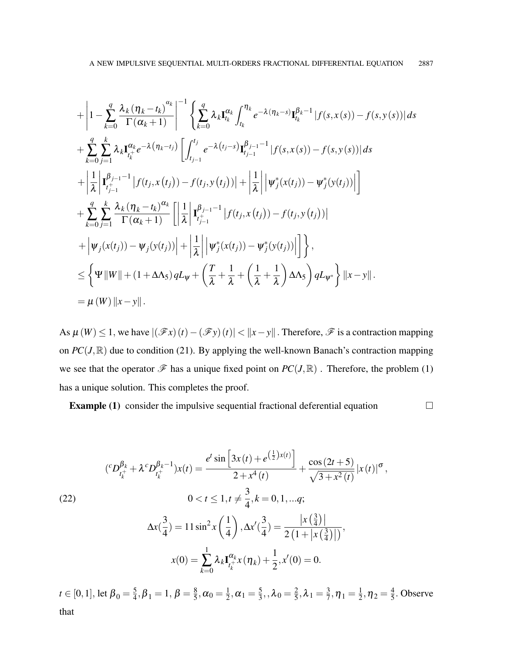$$
+\left|1-\sum_{k=0}^{q}\frac{\lambda_{k}(\eta_{k}-t_{k})^{\alpha_{k}}}{\Gamma(\alpha_{k}+1)}\right|^{-1}\left\{\sum_{k=0}^{q}\lambda_{k}\mathbf{I}_{t_{k}}^{\alpha_{k}}\int_{t_{k}}^{\eta_{k}}e^{-\lambda(\eta_{k}-s)}\mathbf{I}_{t_{k}}^{\beta_{k}-1}|f(s,x(s))-f(s,y(s))|ds\n+\sum_{k=0}^{q}\sum_{j=1}^{k}\lambda_{k}\mathbf{I}_{t_{k}}^{\alpha_{k}}e^{-\lambda(\eta_{k}-t_{j})}\left[\int_{t_{j-1}}^{t_{j}}e^{-\lambda(t_{j}-s)}\mathbf{I}_{t_{j-1}}^{\beta_{j-1}-1}|f(s,x(s))-f(s,y(s))|ds\right] \n+\left|\frac{1}{\lambda}\left|\mathbf{I}_{t_{j-1}}^{\beta_{j-1}-1}|f(t_{j},x(t_{j}))-f(t_{j},y(t_{j}))|+\left|\frac{1}{\lambda}\right|\left|\psi_{j}^{*}(x(t_{j}))- \psi_{j}^{*}(y(t_{j}))\right|\right|\right] \n+\sum_{k=0}^{q}\sum_{j=1}^{k}\frac{\lambda_{k}(\eta_{k}-t_{k})^{\alpha_{k}}}{\Gamma(\alpha_{k}+1)}\left[\left|\frac{1}{\lambda}\left|\mathbf{I}_{t_{j-1}}^{\beta_{j-1}-1}|f(t_{j},x(t_{j}))-f(t_{j},y(t_{j}))|-\right|\right|\n+\left|\psi_{j}(x(t_{j}))- \psi_{j}(y(t_{j}))\right|+\left|\frac{1}{\lambda}\right|\left|\psi_{j}^{*}(x(t_{j}))- \psi_{j}^{*}(y(t_{j}))\right|\right]\right\},\n\leq \left\{\Psi\|W\| + (1+\Delta\Lambda_{5})qL_{\Psi}+\left(\frac{T}{\lambda}+\frac{1}{\lambda}+\left(\frac{1}{\lambda}+\frac{1}{\lambda}\right)\Delta\Lambda_{5}\right)qL_{\Psi^{*}}\right\}\|x-y\|.\n=\mu(W)\|x-y\|.
$$

As  $\mu(W) \leq 1$ , we have  $|(\mathcal{F}x)(t) - (\mathcal{F}y)(t)| < ||x - y||$ . Therefore,  $\mathcal F$  is a contraction mapping on  $PC(J, \mathbb{R})$  due to condition (21). By applying the well-known Banach's contraction mapping we see that the operator  $\mathscr F$  has a unique fixed point on  $PC(J,\mathbb R)$ . Therefore, the problem (1) has a unique solution. This completes the proof.

**Example (1)** consider the impulsive sequential fractional deferential equation  $\Box$ 

(22)  
\n
$$
({}^{c}D_{t_{k}^{+}}^{\beta_{k}} + \lambda^{c}D_{t_{k}^{+}}^{\beta_{k}-1})x(t) = \frac{e^{t}\sin\left[3x(t) + e^{\left(\frac{1}{2}\right)x(t)}\right]}{2 + x^{4}(t)} + \frac{\cos(2t+5)}{\sqrt{3 + x^{2}(t)}}|x(t)|^{\sigma},
$$
\n
$$
0 < t \le 1, t \neq \frac{3}{4}, k = 0, 1, ..., q;
$$
\n
$$
\Delta x(\frac{3}{4}) = 11\sin^{2}x\left(\frac{1}{4}\right), \Delta x'(\frac{3}{4}) = \frac{|x(\frac{3}{4})|}{2(1 + |x(\frac{3}{4})|)},
$$
\n
$$
x(0) = \sum_{k=0}^{1} \lambda_{k}I_{t_{k}^{+}}^{\alpha_{k}}x(\eta_{k}) + \frac{1}{2}, x'(0) = 0.
$$

 $t\in[0,1],$  let  $\boldsymbol{\beta}_0=\frac{5}{4}$  $\frac{5}{4}, \beta_1 = 1, \beta = \frac{8}{5}$  $\frac{8}{5}, \alpha_0 = \frac{1}{2}$  $\frac{1}{2}, \alpha_1 = \frac{5}{3}$  $\frac{5}{3}$ ,  $\lambda_0 = \frac{2}{5}$  $\frac{2}{5}, \lambda_1 = \frac{3}{7}$  $\frac{3}{7}, \eta_1 = \frac{1}{2}$  $\frac{1}{2}, \eta_2 = \frac{4}{5}$  $\frac{4}{5}$ . Observe that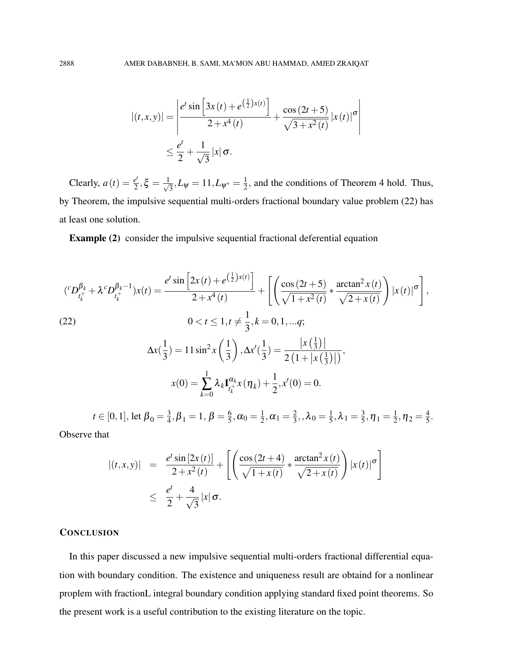$$
|(t, x, y)| = \left| \frac{e^t \sin \left[ 3x(t) + e^{\left( \frac{1}{2} \right) x(t)} \right]}{2 + x^4(t)} + \frac{\cos (2t + 5)}{\sqrt{3 + x^2(t)}} |x(t)|^{\sigma} \right|
$$
  

$$
\leq \frac{e^t}{2} + \frac{1}{\sqrt{3}} |x| \sigma.
$$

Clearly,  $a(t) = \frac{e^t}{2}$  $\frac{e^t}{2}, \xi = \frac{1}{\sqrt{2}}$  $\frac{1}{3}$ ,  $L_{\psi} = 11$ ,  $L_{\psi^*} = \frac{1}{2}$  $\frac{1}{2}$ , and the conditions of Theorem 4 hold. Thus, by Theorem, the impulsive sequential multi-orders fractional boundary value problem (22) has at least one solution.

Example (2) consider the impulsive sequential fractional deferential equation

$$
\left({}^{c}D_{t_{k}^{+}}^{\beta_{k}} + \lambda^{c}D_{t_{k}^{+}}^{\beta_{k}-1}\right)x(t) = \frac{e^{t}\sin\left[2x(t) + e^{\left(\frac{1}{2}\right)x(t)}\right]}{2+x^{4}(t)} + \left[\left(\frac{\cos\left(2t+5\right)}{\sqrt{1+x^{2}(t)}} * \frac{\arctan^{2}x(t)}{\sqrt{2+x(t)}}\right)|x(t)|^{\sigma}\right],
$$
\n(22)\n
$$
0 < t \le 1, t \neq \frac{1}{3}, k = 0, 1, \dots q;
$$
\n
$$
\Delta x\left(\frac{1}{3}\right) = 11\sin^{2}x\left(\frac{1}{3}\right), \Delta x'\left(\frac{1}{3}\right) = \frac{\left|x\left(\frac{1}{3}\right)\right|}{2\left(1+\left|x\left(\frac{1}{3}\right)\right|\right)},
$$
\n
$$
x(0) = \sum_{k=0}^{1} \lambda_{k} \mathbf{I}_{t_{k}^{+}}^{\alpha_{k}} x(\eta_{k}) + \frac{1}{2}, x'(0) = 0.
$$
\n
$$
t \in [0, 1], \text{ let } \beta = \frac{3}{5}, \beta = 1, \beta = 6, \gamma = 1, \gamma = 2, 2, 1, 1, 2, 3, \gamma = 1, \gamma = 4
$$

 $t\in[0,1],$  let  $\boldsymbol{\beta}_0=\frac{3}{4}$  $\frac{3}{4}, \beta_1 = 1, \beta = \frac{6}{5}$  $\frac{6}{5}$ ,  $\alpha_0 = \frac{1}{2}$  $\frac{1}{2}, \alpha_1 = \frac{2}{3}$  $\frac{2}{3}$ ,, $\lambda_0 = \frac{1}{5}$  $\frac{1}{5}, \lambda_1 = \frac{3}{5}$  $\frac{3}{5}$ ,  $\eta_1 = \frac{1}{2}$  $\frac{1}{2}, \eta_2 = \frac{4}{5}$  $\frac{4}{5}$ .

Observe that

$$
\begin{array}{rcl} \left| (t,x,y) \right| & = & \frac{e^t \sin \left[ 2x(t) \right]}{2 + x^2(t)} + \left[ \left( \frac{\cos \left( 2t + 4 \right)}{\sqrt{1 + x(t)}} \ast \frac{\arctan^2 x(t)}{\sqrt{2 + x(t)}} \right) \left| x(t) \right|^\sigma \right] \\ & \leq & \frac{e^t}{2} + \frac{4}{\sqrt{3}} \left| x \right| \sigma. \end{array}
$$

### **CONCLUSION**

In this paper discussed a new impulsive sequential multi-orders fractional differential equation with boundary condition. The existence and uniqueness result are obtaind for a nonlinear proplem with fractionL integral boundary condition applying standard fixed point theorems. So the present work is a useful contribution to the existing literature on the topic.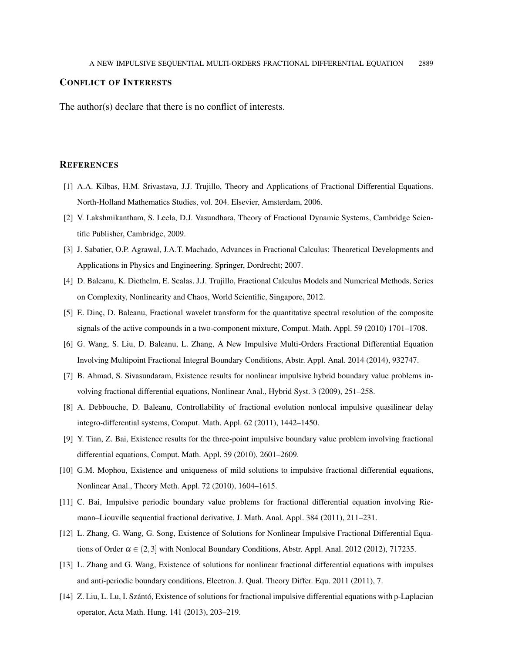#### CONFLICT OF INTERESTS

The author(s) declare that there is no conflict of interests.

## **REFERENCES**

- [1] A.A. Kilbas, H.M. Srivastava, J.J. Trujillo, Theory and Applications of Fractional Differential Equations. North-Holland Mathematics Studies, vol. 204. Elsevier, Amsterdam, 2006.
- [2] V. Lakshmikantham, S. Leela, D.J. Vasundhara, Theory of Fractional Dynamic Systems, Cambridge Scientific Publisher, Cambridge, 2009.
- [3] J. Sabatier, O.P. Agrawal, J.A.T. Machado, Advances in Fractional Calculus: Theoretical Developments and Applications in Physics and Engineering. Springer, Dordrecht; 2007.
- [4] D. Baleanu, K. Diethelm, E. Scalas, J.J. Trujillo, Fractional Calculus Models and Numerical Methods, Series on Complexity, Nonlinearity and Chaos, World Scientific, Singapore, 2012.
- [5] E. Dinc, D. Baleanu, Fractional wavelet transform for the quantitative spectral resolution of the composite signals of the active compounds in a two-component mixture, Comput. Math. Appl. 59 (2010) 1701–1708.
- [6] G. Wang, S. Liu, D. Baleanu, L. Zhang, A New Impulsive Multi-Orders Fractional Differential Equation Involving Multipoint Fractional Integral Boundary Conditions, Abstr. Appl. Anal. 2014 (2014), 932747.
- [7] B. Ahmad, S. Sivasundaram, Existence results for nonlinear impulsive hybrid boundary value problems involving fractional differential equations, Nonlinear Anal., Hybrid Syst. 3 (2009), 251–258.
- [8] A. Debbouche, D. Baleanu, Controllability of fractional evolution nonlocal impulsive quasilinear delay integro-differential systems, Comput. Math. Appl. 62 (2011), 1442–1450.
- [9] Y. Tian, Z. Bai, Existence results for the three-point impulsive boundary value problem involving fractional differential equations, Comput. Math. Appl. 59 (2010), 2601–2609.
- [10] G.M. Mophou, Existence and uniqueness of mild solutions to impulsive fractional differential equations, Nonlinear Anal., Theory Meth. Appl. 72 (2010), 1604–1615.
- [11] C. Bai, Impulsive periodic boundary value problems for fractional differential equation involving Riemann–Liouville sequential fractional derivative, J. Math. Anal. Appl. 384 (2011), 211–231.
- [12] L. Zhang, G. Wang, G. Song, Existence of Solutions for Nonlinear Impulsive Fractional Differential Equations of Order  $\alpha \in (2,3]$  with Nonlocal Boundary Conditions, Abstr. Appl. Anal. 2012 (2012), 717235.
- [13] L. Zhang and G. Wang, Existence of solutions for nonlinear fractional differential equations with impulses and anti-periodic boundary conditions, Electron. J. Qual. Theory Differ. Equ. 2011 (2011), 7.
- $[14]$  Z. Liu, L. Lu, I. Szántó, Existence of solutions for fractional impulsive differential equations with p-Laplacian operator, Acta Math. Hung. 141 (2013), 203–219.